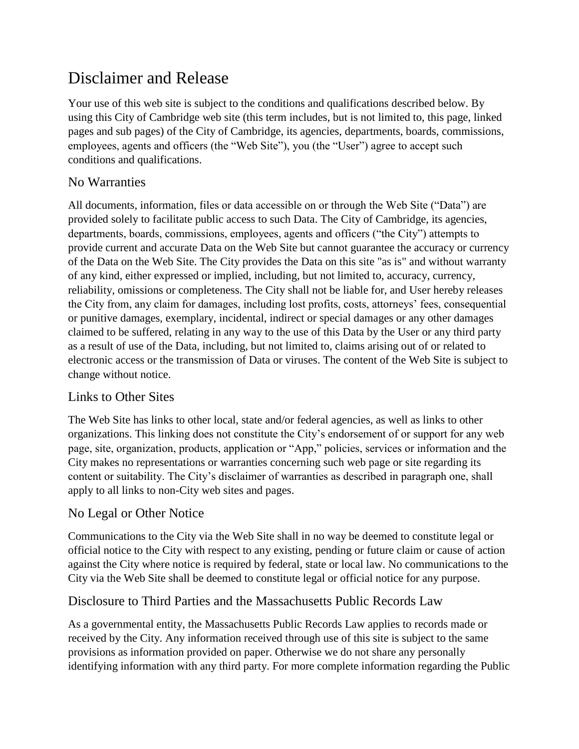# Disclaimer and Release

Your use of this web site is subject to the conditions and qualifications described below. By using this City of Cambridge web site (this term includes, but is not limited to, this page, linked pages and sub pages) of the City of Cambridge, its agencies, departments, boards, commissions, employees, agents and officers (the "Web Site"), you (the "User") agree to accept such conditions and qualifications.

#### No Warranties

All documents, information, files or data accessible on or through the Web Site ("Data") are provided solely to facilitate public access to such Data. The City of Cambridge, its agencies, departments, boards, commissions, employees, agents and officers ("the City") attempts to provide current and accurate Data on the Web Site but cannot guarantee the accuracy or currency of the Data on the Web Site. The City provides the Data on this site "as is" and without warranty of any kind, either expressed or implied, including, but not limited to, accuracy, currency, reliability, omissions or completeness. The City shall not be liable for, and User hereby releases the City from, any claim for damages, including lost profits, costs, attorneys' fees, consequential or punitive damages, exemplary, incidental, indirect or special damages or any other damages claimed to be suffered, relating in any way to the use of this Data by the User or any third party as a result of use of the Data, including, but not limited to, claims arising out of or related to electronic access or the transmission of Data or viruses. The content of the Web Site is subject to change without notice.

## Links to Other Sites

The Web Site has links to other local, state and/or federal agencies, as well as links to other organizations. This linking does not constitute the City's endorsement of or support for any web page, site, organization, products, application or "App," policies, services or information and the City makes no representations or warranties concerning such web page or site regarding its content or suitability. The City's disclaimer of warranties as described in paragraph one, shall apply to all links to non-City web sites and pages.

## No Legal or Other Notice

Communications to the City via the Web Site shall in no way be deemed to constitute legal or official notice to the City with respect to any existing, pending or future claim or cause of action against the City where notice is required by federal, state or local law. No communications to the City via the Web Site shall be deemed to constitute legal or official notice for any purpose.

## Disclosure to Third Parties and the Massachusetts Public Records Law

As a governmental entity, the Massachusetts Public Records Law applies to records made or received by the City. Any information received through use of this site is subject to the same provisions as information provided on paper. Otherwise we do not share any personally identifying information with any third party. For more complete information regarding the Public